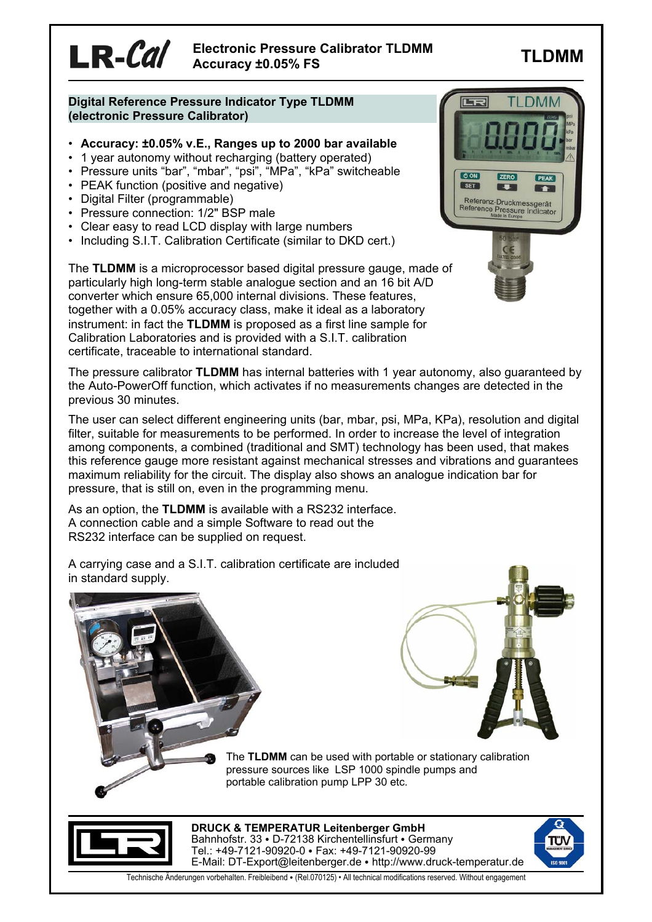**TLDMM Electronic Pressure Calibrator TLDMM Accuracy ±0.05% FS**

## **Digital Reference Pressure Indicator Type TLDMM (electronic Pressure Calibrator)**

- **Accuracy: ±0.05% v.E., Ranges up to 2000 bar available**
- 1 year autonomy without recharging (battery operated)
- Pressure units "bar", "mbar", "psi", "MPa", "kPa" switcheable
- PEAK function (positive and negative)
- Digital Filter (programmable)

 $LR$ - $Cal$ 

- Pressure connection: 1/2" BSP male
- Clear easy to read LCD display with large numbers
- Including S.I.T. Calibration Certificate (similar to DKD cert.)

The **TLDMM** is a microprocessor based digital pressure gauge, made of particularly high long-term stable analogue section and an 16 bit A/D converter which ensure 65,000 internal divisions. These features, together with a 0.05% accuracy class, make it ideal as a laboratory instrument: in fact the **TLDMM** is proposed as a first line sample for Calibration Laboratories and is provided with a S.I.T. calibration certificate, traceable to international standard.



The pressure calibrator **TLDMM** has internal batteries with 1 year autonomy, also guaranteed by the Auto-PowerOff function, which activates if no measurements changes are detected in the previous 30 minutes.

The user can select different engineering units (bar, mbar, psi, MPa, KPa), resolution and digital filter, suitable for measurements to be performed. In order to increase the level of integration among components, a combined (traditional and SMT) technology has been used, that makes this reference gauge more resistant against mechanical stresses and vibrations and guarantees maximum reliability for the circuit. The display also shows an analogue indication bar for pressure, that is still on, even in the programming menu.

As an option, the **TLDMM** is available with a RS232 interface. A connection cable and a simple Software to read out the RS232 interface can be supplied on request.

A carrying case and a S.I.T. calibration certificate are included in standard supply.



The **TLDMM** can be used with portable or stationary calibration pressure sources like LSP 1000 spindle pumps and portable calibration pump LPP 30 etc.



**DRUCK & TEMPERATUR Leitenberger GmbH** Bahnhofstr. 33 · D-72138 Kirchentellinsfurt · Germany Tel.: +49-7121-90920-0 · Fax: +49-7121-90920-99 E-Mail: DT-Export@leitenberger.de • http://www.druck-temperatur.de



Technische Änderungen vorbehalten. Freibleibend • (Rel.070125) • All technical modifications reserved. Without engagement